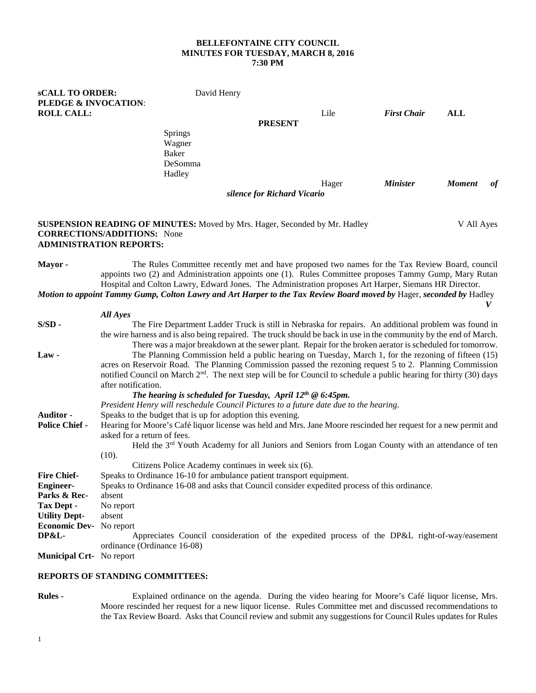## **BELLEFONTAINE CITY COUNCIL MINUTES FOR TUESDAY, MARCH 8, 2016 7:30 PM**

**sCALL TO ORDER:** David Henry **PLEDGE & INVOCATION**: **ROLL CALL:** Lile *First Chair* **ALL PRESENT** Springs Wagner Baker DeSomma Hadley Hager *Minister Moment of silence for Richard Vicario* 

## **SUSPENSION READING OF MINUTES:** Moved by Mrs. Hager, Seconded by Mr. Hadley V All Ayes **CORRECTIONS/ADDITIONS:** None **ADMINISTRATION REPORTS:**

**Mayor -** The Rules Committee recently met and have proposed two names for the Tax Review Board, council appoints two (2) and Administration appoints one (1). Rules Committee proposes Tammy Gump, Mary Rutan Hospital and Colton Lawry, Edward Jones. The Administration proposes Art Harper, Siemans HR Director.

*Motion to appoint Tammy Gump, Colton Lawry and Art Harper to the Tax Review Board moved by* Hager, *seconded by* Hadley  *V* 

|                                 | All Ayes                                                                                                                        |
|---------------------------------|---------------------------------------------------------------------------------------------------------------------------------|
| $S/SD -$                        | The Fire Department Ladder Truck is still in Nebraska for repairs. An additional problem was found in                           |
|                                 | the wire harness and is also being repaired. The truck should be back in use in the community by the end of March.              |
|                                 | There was a major breakdown at the sewer plant. Repair for the broken aerator is scheduled for tomorrow.                        |
| Law-                            | The Planning Commission held a public hearing on Tuesday, March 1, for the rezoning of fifteen (15)                             |
|                                 | acres on Reservoir Road. The Planning Commission passed the rezoning request 5 to 2. Planning Commission                        |
|                                 | notified Council on March 2 <sup>nd</sup> . The next step will be for Council to schedule a public hearing for thirty (30) days |
|                                 | after notification.                                                                                                             |
|                                 | The hearing is scheduled for Tuesday, April $12^{th} \otimes 6:45$ pm.                                                          |
|                                 | President Henry will reschedule Council Pictures to a future date due to the hearing.                                           |
| <b>Auditor -</b>                | Speaks to the budget that is up for adoption this evening.                                                                      |
| <b>Police Chief -</b>           | Hearing for Moore's Café liquor license was held and Mrs. Jane Moore rescinded her request for a new permit and                 |
|                                 | asked for a return of fees.                                                                                                     |
|                                 | Held the 3 <sup>rd</sup> Youth Academy for all Juniors and Seniors from Logan County with an attendance of ten                  |
|                                 | (10).                                                                                                                           |
|                                 | Citizens Police Academy continues in week six (6).                                                                              |
| <b>Fire Chief-</b>              | Speaks to Ordinance 16-10 for ambulance patient transport equipment.                                                            |
| <b>Engineer-</b>                | Speaks to Ordinance 16-08 and asks that Council consider expedited process of this ordinance.                                   |
| Parks & Rec-                    | absent                                                                                                                          |
| Tax Dept -                      | No report                                                                                                                       |
| <b>Utility Dept-</b>            | absent                                                                                                                          |
| <b>Economic Dev-</b> No report  |                                                                                                                                 |
| DP&L-                           | Appreciates Council consideration of the expedited process of the DP&L right-of-way/easement                                    |
|                                 | ordinance (Ordinance 16-08)                                                                                                     |
| <b>Municipal Crt-</b> No report |                                                                                                                                 |

## **REPORTS OF STANDING COMMITTEES:**

**Rules -** Explained ordinance on the agenda. During the video hearing for Moore's Café liquor license, Mrs. Moore rescinded her request for a new liquor license. Rules Committee met and discussed recommendations to the Tax Review Board. Asks that Council review and submit any suggestions for Council Rules updates for Rules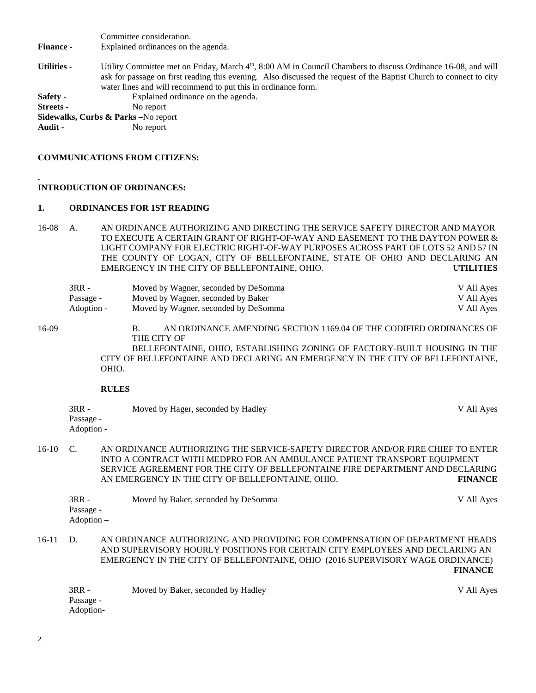Committee consideration. **Finance -** Explained ordinances on the agenda. Utilities - Utility Committee met on Friday, March 4<sup>th</sup>, 8:00 AM in Council Chambers to discuss Ordinance 16-08, and will ask for passage on first reading this evening. Also discussed the request of the Baptist Church to connect to city water lines and will recommend to put this in ordinance form. **Safety -** Explained ordinance on the agenda. **Streets -** No report **Sidewalks, Curbs & Parks –**No report **Audit -** No report

## **COMMUNICATIONS FROM CITIZENS:**

#### **. INTRODUCTION OF ORDINANCES:**

#### **1. ORDINANCES FOR 1ST READING**

16-08 A. AN ORDINANCE AUTHORIZING AND DIRECTING THE SERVICE SAFETY DIRECTOR AND MAYOR TO EXECUTE A CERTAIN GRANT OF RIGHT-OF-WAY AND EASEMENT TO THE DAYTON POWER & LIGHT COMPANY FOR ELECTRIC RIGHT-OF-WAY PURPOSES ACROSS PART OF LOTS 52 AND 57 IN THE COUNTY OF LOGAN, CITY OF BELLEFONTAINE, STATE OF OHIO AND DECLARING AN EMERGENCY IN THE CITY OF BELLEFONTAINE, OHIO. **UTILITIES**

| 3RR -      | Moved by Wagner, seconded by DeSomma | V All Ayes |
|------------|--------------------------------------|------------|
| Passage -  | Moved by Wagner, seconded by Baker   | V All Ayes |
| - Adoption | Moved by Wagner, seconded by DeSomma | V All Ayes |

16-09 B. AN ORDINANCE AMENDING SECTION 1169.04 OF THE CODIFIED ORDINANCES OF THE CITY OF

> BELLEFONTAINE, OHIO, ESTABLISHING ZONING OF FACTORY-BUILT HOUSING IN THE CITY OF BELLEFONTAINE AND DECLARING AN EMERGENCY IN THE CITY OF BELLEFONTAINE, OHIO.

## **RULES**

| $3RR -$    | Moved by Hager, seconded by Hadley | V All Ayes |
|------------|------------------------------------|------------|
| Passage -  |                                    |            |
| Adoption - |                                    |            |

16-10 C. AN ORDINANCE AUTHORIZING THE SERVICE-SAFETY DIRECTOR AND/OR FIRE CHIEF TO ENTER INTO A CONTRACT WITH MEDPRO FOR AN AMBULANCE PATIENT TRANSPORT EQUIPMENT SERVICE AGREEMENT FOR THE CITY OF BELLEFONTAINE FIRE DEPARTMENT AND DECLARING AN EMERGENCY IN THE CITY OF BELLEFONTAINE, OHIO. **FINANCE**

| $3RR -$    | Moved by Baker, seconded by DeSomma | V All Ayes |
|------------|-------------------------------------|------------|
| Passage -  |                                     |            |
| Adoption – |                                     |            |

16-11 D. AN ORDINANCE AUTHORIZING AND PROVIDING FOR COMPENSATION OF DEPARTMENT HEADS AND SUPERVISORY HOURLY POSITIONS FOR CERTAIN CITY EMPLOYEES AND DECLARING AN EMERGENCY IN THE CITY OF BELLEFONTAINE, OHIO (2016 SUPERVISORY WAGE ORDINANCE) **FINANCE**

3RR - Moved by Baker, seconded by Hadley V All Ayes Passage - Adoption-